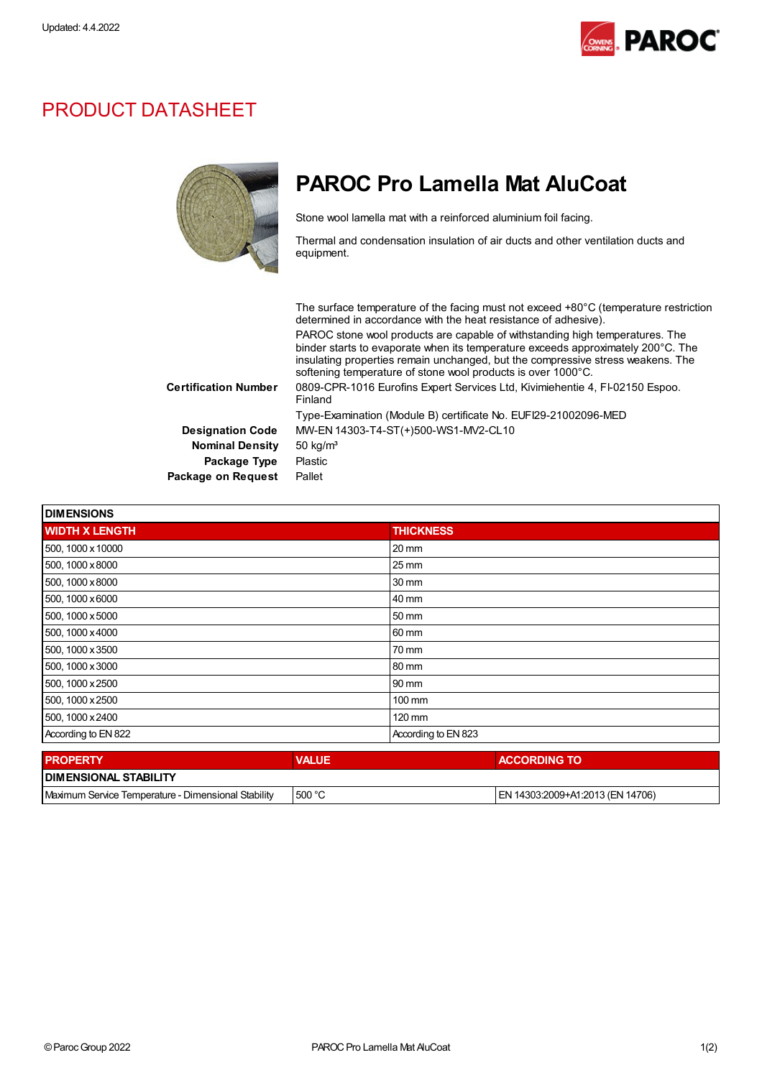

## PRODUCT DATASHEET



## PAROC Pro Lamella Mat AluCoat

Stone wool lamella mat with a reinforced aluminium foil facing.

Thermal and condensation insulation of air ducts and other ventilation ducts and equipment.

The surface temperature of the facing must not exceed +80°C (temperature restriction determined in accordance with the heat resistance of adhesive). PAROC stone wool products are capable of withstanding high temperatures. The binder starts to evaporate when its temperature exceeds approximately 200°C. The insulating properties remain unchanged, but the compressive stress weakens. The softening temperature of stone wool products is over 1000°C. Certification Number 0809-CPR-1016 Eurofins Expert Services Ltd, Kivimiehentie 4, FI-02150 Espoo. Finland Type-Examination (Module B) certificate No. EUFI29-21002096-MED Designation Code MW-EN 14303-T4-ST(+)500-WS1-MV2-CL10 Nominal Density 50 kg/m<sup>3</sup> Package Type Plastic Package on Request Pallet

| <b>DIMENSIONS</b>            |              |                     |  |  |
|------------------------------|--------------|---------------------|--|--|
| <b>WIDTH X LENGTH</b>        |              | <b>THICKNESS</b>    |  |  |
| 500, 1000 x 10000            |              | 20 mm               |  |  |
| 500, 1000 x 8000             |              | 25 mm               |  |  |
| 500, 1000 x 8000             |              | 30 mm               |  |  |
| 500, 1000 x6000              |              | 40 mm               |  |  |
| 500, 1000 x 5000             |              | 50 mm               |  |  |
| 500, 1000 x 4000             |              | 60 mm               |  |  |
| 500, 1000 x 3500             |              | 70 mm               |  |  |
| 500, 1000 x 3000             |              | 80 mm               |  |  |
| 500, 1000 x 2500             |              | 90 mm               |  |  |
| 500, 1000 x 2500             |              | 100 mm              |  |  |
| 500, 1000 x 2400             |              | 120 mm              |  |  |
| According to EN 822          |              | According to EN 823 |  |  |
| <b>PROPERTY</b>              | <b>VALUE</b> | <b>ACCORDING TO</b> |  |  |
| <b>DIMENGIONAL OTADILITY</b> |              |                     |  |  |

| <b>I DIMENSIONAL STABILITY</b>                      |        |                                    |  |  |
|-----------------------------------------------------|--------|------------------------------------|--|--|
| Maximum Service Temperature - Dimensional Stability | 500 °C | I EN 14303:2009+A1:2013 (EN 14706) |  |  |